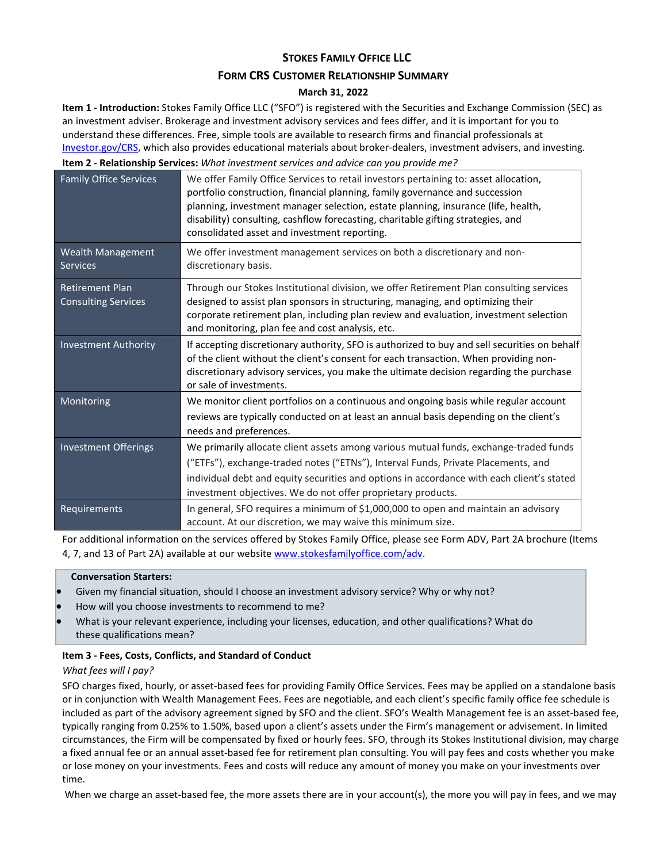# **STOKES FAMILY OFFICE LLC**

## **FORM CRS CUSTOMER RELATIONSHIP SUMMARY**

# **March 31, 2022**

**Item 1 - Introduction:** Stokes Family Office LLC ("SFO") is registered with the Securities and Exchange Commission (SEC) as an investment adviser. Brokerage and investment advisory services and fees differ, and it is important for you to understand these differences. Free, simple tools are available to research firms and financial professionals at [Investor.gov/CRS,](http://investor.gov/CRS) which also provides educational materials about broker-dealers, investment advisers, and investing.

**Item 2 - Relationship Services:** *What investment services and advice can you provide me?*

| <b>Family Office Services</b>                        | We offer Family Office Services to retail investors pertaining to: asset allocation,<br>portfolio construction, financial planning, family governance and succession<br>planning, investment manager selection, estate planning, insurance (life, health,<br>disability) consulting, cashflow forecasting, charitable gifting strategies, and<br>consolidated asset and investment reporting. |
|------------------------------------------------------|-----------------------------------------------------------------------------------------------------------------------------------------------------------------------------------------------------------------------------------------------------------------------------------------------------------------------------------------------------------------------------------------------|
| <b>Wealth Management</b><br><b>Services</b>          | We offer investment management services on both a discretionary and non-<br>discretionary basis.                                                                                                                                                                                                                                                                                              |
| <b>Retirement Plan</b><br><b>Consulting Services</b> | Through our Stokes Institutional division, we offer Retirement Plan consulting services<br>designed to assist plan sponsors in structuring, managing, and optimizing their<br>corporate retirement plan, including plan review and evaluation, investment selection<br>and monitoring, plan fee and cost analysis, etc.                                                                       |
| <b>Investment Authority</b>                          | If accepting discretionary authority, SFO is authorized to buy and sell securities on behalf<br>of the client without the client's consent for each transaction. When providing non-<br>discretionary advisory services, you make the ultimate decision regarding the purchase<br>or sale of investments.                                                                                     |
| Monitoring                                           | We monitor client portfolios on a continuous and ongoing basis while regular account<br>reviews are typically conducted on at least an annual basis depending on the client's<br>needs and preferences.                                                                                                                                                                                       |
| Investment Offerings                                 | We primarily allocate client assets among various mutual funds, exchange-traded funds<br>("ETFs"), exchange-traded notes ("ETNs"), Interval Funds, Private Placements, and<br>individual debt and equity securities and options in accordance with each client's stated<br>investment objectives. We do not offer proprietary products.                                                       |
| Requirements                                         | In general, SFO requires a minimum of \$1,000,000 to open and maintain an advisory<br>account. At our discretion, we may waive this minimum size.                                                                                                                                                                                                                                             |

For additional information on the services offered by Stokes Family Office, please see Form ADV, Part 2A brochure (Items 4, 7, and 13 of Part 2A) available at our website [www.stokesfamilyoffice.com/adv.](http://www.stokesfamilyoffice.com/adv)

## **Conversation Starters:**

- Given my financial situation, should I choose an investment advisory service? Why or why not?
- How will you choose investments to recommend to me?
- What is your relevant experience, including your licenses, education, and other qualifications? What do these qualifications mean?

## **Item 3 - Fees, Costs, Conflicts, and Standard of Conduct**

## *What fees will I pay?*

SFO charges fixed, hourly, or asset-based fees for providing Family Office Services. Fees may be applied on a standalone basis or in conjunction with Wealth Management Fees. Fees are negotiable, and each client's specific family office fee schedule is included as part of the advisory agreement signed by SFO and the client. SFO's Wealth Management fee is an asset-based fee, typically ranging from 0.25% to 1.50%, based upon a client's assets under the Firm's management or advisement. In limited circumstances, the Firm will be compensated by fixed or hourly fees. SFO, through its Stokes Institutional division, may charge a fixed annual fee or an annual asset-based fee for retirement plan consulting. You will pay fees and costs whether you make or lose money on your investments. Fees and costs will reduce any amount of money you make on your investments over time.

When we charge an asset-based fee, the more assets there are in your account(s), the more you will pay in fees, and we may